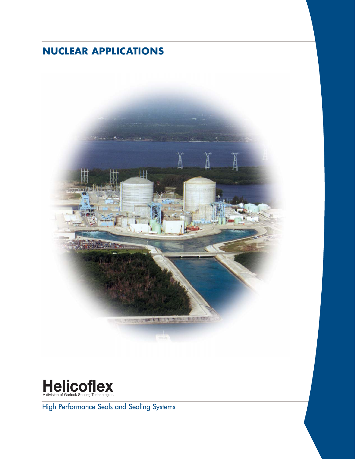# **NUCLEAR APPLICATIONS**





High Performance Seals and Sealing Systems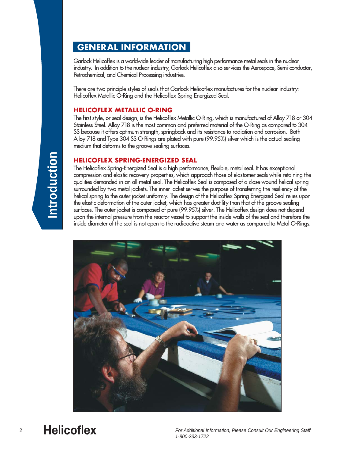# **GENERAL INFORMATION**

Garlock Helicoflex is a worldwide leader of manufacturing high performance metal seals in the nuclear industry. In addition to the nuclear industry, Garlock Helicoflex also services the Aerospace, Semi-conductor, Petrochemical, and Chemical Processing industries.

There are two principle styles of seals that Garlock Helicoflex manufactures for the nuclear industry: Helicoflex Metallic O-Ring and the Helicoflex Spring Energized Seal.

### **HELICOFLEX METALLIC O-RING**

The first style, or seal design, is the Helicoflex Metallic O-Ring, which is manufactured of Alloy 718 or 304 Stainless Steel. Alloy 718 is the most common and preferred material of the O-Ring as compared to 304 SS because it offers optimum strength, springback and its resistance to radiation and corrosion. Both Alloy 718 and Type 304 SS O-Rings are plated with pure (99.95%) silver which is the actual sealing medium that deforms to the groove sealing surfaces.

### **HELICOFLEX SPRING-ENERGIZED SEAL**

The Helicoflex Spring-Energized Seal is a high performance, flexible, metal seal. It has exceptional compression and elastic recovery properties, which approach those of elastomer seals while retaining the qualities demanded in an all-metal seal. The Helicoflex Seal is composed of a close-wound helical spring surrounded by two metal jackets. The inner jacket serves the purpose of transferring the resiliency of the helical spring to the outer jacket uniformly. The design of the Helicoflex Spring Energized Seal relies upon the elastic deformation of the outer jacket, which has greater ductility than that of the groove sealing surfaces. The outer jacket is composed of pure (99.95%) silver. The Helicoflex design does not depend upon the internal pressure from the reactor vessel to support the inside walls of the seal and therefore the inside diameter of the seal is not open to the radioactive steam and water as compared to Metal O-Rings.



2 **Helicoflex** For Additional Information, Please Consult Our Engineering Staff 1-800-233-1722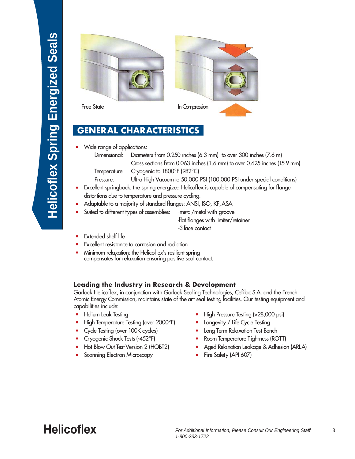

# **GENERAL CHARACTERISTICS**

**•** Wide range of applications:

| Dimensional: Diameters from 0.250 inches (6.3 mm) to over 300 inches (7.6 m) |
|------------------------------------------------------------------------------|
| Cross sections from 0.063 inches (1.6 mm) to over 0.625 inches (15.9 mm)     |
| Temperature: Cryogenic to 1800°F (982°C)                                     |

Pressure: Ultra High Vacuum to 50,000 PSI (100,000 PSI under special conditions)

- **•** Excellent springback: the spring energized Helicoflex is capable of compensating for flange distortions due to temperature and pressure cycling.
- Adaptable to a majority of standard flanges: ANSI, ISO, KF, ASA<br>Suited to different types of assemblies: -metal/metal with groove
- Suited to different types of assemblies:

-flat flanges with limiter/retainer -3 face contact

- **•** Extended shelf life
- **•** Excellent resistance to corrosion and radiation
- **•** Minimum relaxation: the Helicoflex's resilient spring compensates for relaxation ensuring positive seal contact.

### **Leading the Industry in Research & Development**

Garlock Helicoflex, in conjunction with Garlock Sealing Technologies, Cefilac S.A. and the French Atomic Energy Commission, maintains state of the art seal testing facilities. Our testing equipment and capabilities include:

- 
- **•** Helium Leak Testing **•** High Pressure Testing (>28,000 psi) **•** High Temperature Testing (over 2000°F) **•** Longevity / Life Cycle Testing
- **•** Cycle Testing (over 100K cycles)<br>**•** Cryogenic Shock Tests (-452°F)
- 
- 
- **•** Scanning Electron Microscopy
- 
- 
- 
- **•** Cryogenic Shock Tests (-452°F) **•** Room Temperature Tightness (ROTT)
	- Aged-Relaxation-Leakage & Adhesion (ARLA)<br>• Fire Safety (API 607)
	-

# **Helicoflex**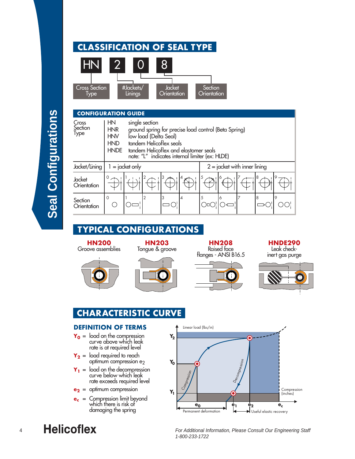#### **CLASSIFICATION OF SEAL TYPE** HN 2 0 8 #Jackets/ Linings Cross Section Type Jacket **Orientation Section Orientation** HN single section **CONFIGURATION GUIDE** Cross

| Cross<br>Section<br>Type | HN<br><b>HNR</b><br><b>HNV</b><br><b>HND</b><br><b>HNDE</b> |                   | single section<br>low load (Delta Seal) | tandem Helicoflex seals | ground spring for precise load control (Beta Spring)<br>tandem Helicoflex and elastomer seals<br>note: "L" indicates internal limiter (ex: HLDE) |                                |    |  |    |  |  |  |
|--------------------------|-------------------------------------------------------------|-------------------|-----------------------------------------|-------------------------|--------------------------------------------------------------------------------------------------------------------------------------------------|--------------------------------|----|--|----|--|--|--|
| Jacket/Lining            |                                                             | $1 =$ jacket only |                                         |                         |                                                                                                                                                  | $2 =$ jacket with inner lining |    |  |    |  |  |  |
| Jacket<br>Orientation    | $0 +$                                                       |                   |                                         | l3                      |                                                                                                                                                  | 5                              | 16 |  | 18 |  |  |  |
| Section<br>Orientation   | 0                                                           |                   |                                         |                         |                                                                                                                                                  |                                | Ô  |  | 8  |  |  |  |

# **TYPICAL CONFIGURATIONS**

**HN200** Groove assemblies

**HN203** Tongue & groove

Ĥ

**HN208** Raised face flanges - ANSI B16.5



**HNDE290** Leak checkinert gas purge



# **CHARACTERISTIC CURVE**

### **DEFINITION OF TERMS**

- **Y<sub>0</sub>** = load on the compression curve above which leak rate is at required level
- **Y<sub>2</sub>** = load required to reach optimum compression e<sub>2</sub>
- **Y1** = load on the decompression curve below which leak rate exceeds required level
- **e<sub>2</sub>** = optimum compression
- **ec** = Compression limit beyond which there is risk of damaging the spring



4 **Helicoflex** For Additional Information, Please Consult Our Engineering Staff 1-800-233-1722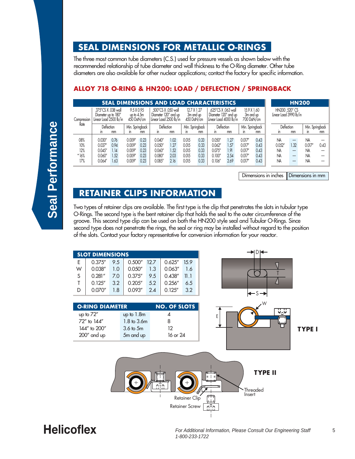# **SEAL DIMENSIONS FOR METALLIC O-RINGS**

The three most common tube diameters (C.S.) used for pressure vessels as shown below with the recommended relationship of tube diameter and wall thickness to the O-Ring diameter. Other tube diameters are also available for other nuclear applications; contact the factory for specific information.

### **ALLOY 718 O-RING & HN200: LOAD / DEFLECTION / SPRINGBACK**

|             | <b>SEAL DIMENSIONS AND LOAD CHARACTERISTICS</b>                                                                  |      |                                                                                                                 |                               |              |                                                                         |       |                                        |         |                 |                                          | <b>HN200</b>      |       |                          |                 |      |
|-------------|------------------------------------------------------------------------------------------------------------------|------|-----------------------------------------------------------------------------------------------------------------|-------------------------------|--------------|-------------------------------------------------------------------------|-------|----------------------------------------|---------|-----------------|------------------------------------------|-------------------|-------|--------------------------|-----------------|------|
| Compression | .375"CS X .038 wall<br>9.5 X 0.95<br>Diameter up to 180"<br>up to $4.5m$<br>Linear Load 2500 lb/in<br>450 DaN/cm |      | .500"CS X .050 wall<br>12.7 X 1.27<br>Diameter 120" and up<br>3m and up<br>Linear Load 2500 lb/in<br>450 DaN/cm |                               |              | .625"CS X .063 wall<br>Diameter 120" and up<br>I Linear Load 4000 lb/in |       | 15.9 X 1.60<br>3m and up<br>700 DaN/cm |         |                 | HN200 .520" CS<br>Linear Load 3990 lb/in |                   |       |                          |                 |      |
| Rate        | Deflection                                                                                                       |      |                                                                                                                 | Deflection<br>Min. Springback |              | Min. Springback                                                         |       | Deflection                             |         | Min. Springback |                                          | <b>Deflection</b> |       |                          | Min. Springback |      |
|             | ın                                                                                                               | mm   | ın                                                                                                              | mm                            | $\mathsf{m}$ | mm                                                                      |       | mm                                     | In      | mm              |                                          | mm                | m     | mm                       | m               | mm   |
| 08%         | 0.030                                                                                                            | 0.76 | 0.009"                                                                                                          | 0.23                          | 0.040''      | 1.02                                                                    | 0.015 | 0.33                                   | 0.050   | 1.27            | 0.017''                                  | 0.43              | NA    | _                        | NA              |      |
| 10%         | 0.037                                                                                                            | 0.94 | 0.009"                                                                                                          | 0.23                          | 0.050''      | .27                                                                     | 0.015 | 0.33                                   | 0.062"  | 1.57            | 0.017''                                  | 0.43              | 0.052 | 1.32                     | 0.017           | 0.43 |
| 12%         | 0.045''                                                                                                          | .14  | 0.009"                                                                                                          | 0.23                          | $0.060$ "    | .52                                                                     | 0.015 | 0.33                                   | 0.075'' | 1.91            | 0.017''                                  | 0.43              | NA    | —                        | <b>NA</b>       |      |
| * 16%       | 0.060                                                                                                            | .52  | 0.009"                                                                                                          | 0.23                          | $0.080$ "    | 2.03                                                                    | 0.015 | 0.33                                   | 0.100'' | 2.54            | 0.017''                                  | 0.43              | NA    | $\overline{\phantom{m}}$ | <b>NA</b>       |      |
| 17%         | 0.064''                                                                                                          | .63  | 0.009                                                                                                           | 0.23                          | 0.085''      | 2.16                                                                    | 0.015 | 0.33                                   | 0.106'' | 2.69            | 0.017''                                  | 0.43              | NA    | –                        | NA              |      |

Dimensions in inches **Dimensions** in mm

## **RETAINER CLIPS INFORMATION**

Two types of retainer clips are available. The first type is the clip that penetrates the slots in tubular type O-Rings. The second type is the bent retainer clip that holds the seal to the outer circumference of the groove. This second type clip can be used on both the HN200 style seal and Tubular O-Rings. Since second type does not penetrate the rings, the seal or ring may be installed without regard to the position of the slots. Contact your factory representative for conversion information for your reactor.

| 0.375''<br>0.038''<br>0.281''<br>0.125''<br>0.070''        | 9.5<br>1.0<br>7.0<br>3.2<br>1.8 | 0.500''<br>0.050''<br>0.375''<br>0.205''<br>0.093'' | 1.3<br>9.5<br>5.2<br>2.4                                          | 0.625''<br>0.063''<br>0.438''<br>0.256''<br>0.125'' | 15.9<br>1.6<br>11.1<br>6.5<br>3.2 | k—s—d<br>…                                                                     |
|------------------------------------------------------------|---------------------------------|-----------------------------------------------------|-------------------------------------------------------------------|-----------------------------------------------------|-----------------------------------|--------------------------------------------------------------------------------|
|                                                            |                                 |                                                     |                                                                   |                                                     |                                   |                                                                                |
| up to $72''$<br>72" to 144"<br>144" to 200"<br>200" and up |                                 |                                                     |                                                                   | 4<br>8<br>12                                        |                                   | П<br>نبارينا<br>E<br><b>TYPE I</b>                                             |
|                                                            |                                 | $\hspace{0.1mm} +$                                  | ⊗                                                                 |                                                     |                                   | <b>TYPE II</b><br>Ш.<br>Threaded<br>Insert<br>∩4∩<br>.                         |
|                                                            |                                 |                                                     | <b>SLOT DIMENSIONS</b><br><b>O-RING DIAMETER</b><br>$3.6$ to $5m$ | 12.7<br>up to 1.8m<br>1.8 to 3.6m<br>5m and up      | <u>باليا</u>                      | <b>NO. OF SLOTS</b><br>16 or 24<br>∛<br>Retainer Clip<br><b>Retainer Screw</b> |

 $\overline{\phantom{a}}$ 

# **Helicoflex**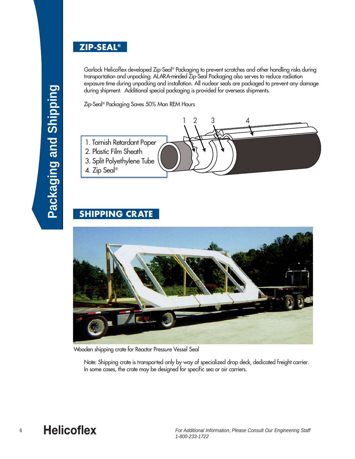### **ZIP-SEAL®**

Garlock Helicoflex developed Zip-Seal® Packaging to prevent scratches and other handling risks during transportation and unpacking. ALARA-minded Zip-Seal Packaging also serves to reduce radiation exposure time during unpacking and installation. All nuclear seals are packaged to prevent any damage during shipment. Additional special packaging is provided for overseas shipments.

Zip-Seal® Packaging Saves 50% Man REM Hours



### **SHIPPING CRATE**



#### Wooden shipping crate for Reactor Pressure Vessel Seal

Note: Shipping crate is transported only by way of specialized drop deck, dedicated freight carrier. In some cases, the crate may be designed for specific sea or air carriers.

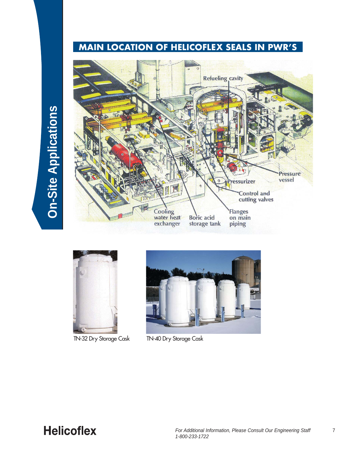# **MAIN LOCATION OF HELICOFLEX SEALS IN PWR'S**







TN-32 Dry Storage Cask TN-40 Dry Storage Cask